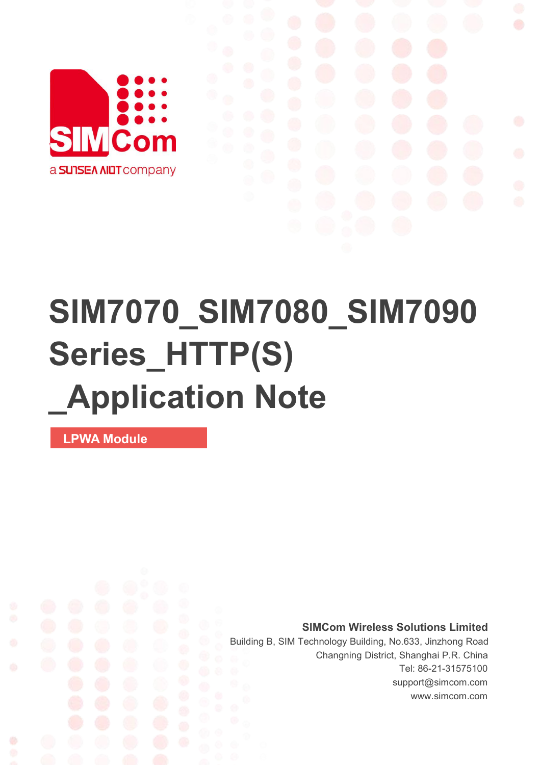

# **SIM7070\_SIM7080\_SIM7090 Series\_HTTP(S) \_Application Note**

**LPWA Module**

**SIMCom Wireless Solutions Limited**

Building B, SIM Technology Building, No.633, Jinzhong Road Changning District, Shanghai P.R. China Tel: 86-21-31575100 support@simcom.com www.simcom.com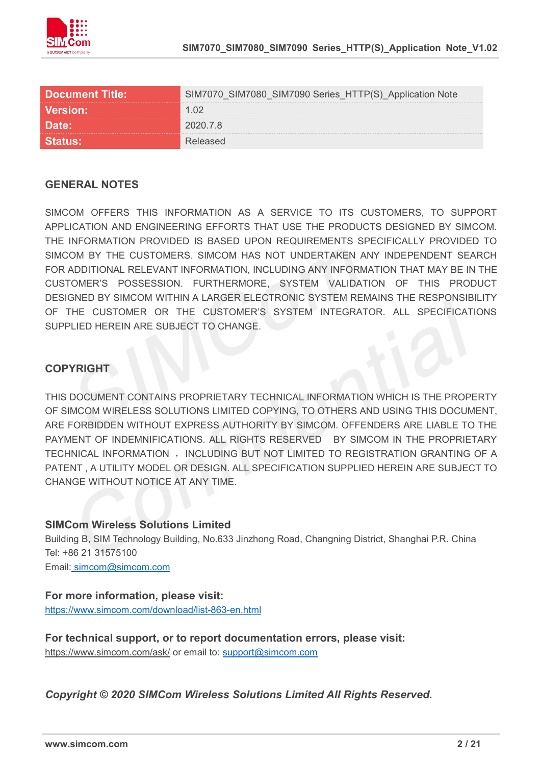

| <b>Document Title:</b> | SIM7090 Series HTTP(S) |  |
|------------------------|------------------------|--|
|                        |                        |  |
|                        |                        |  |
|                        |                        |  |

#### **GENERAL NOTES**

SIMCOM OFFERS THIS INFORMATION AS A SERVICE TO ITS CUSTOMERS. TO SUPPORT APPLICATION AND ENGINEERING EFFORTS THAT USE THE PRODUCTS DESIGNED BY SIMCOM. THE INFORMATION PROVIDED IS BASED UPON REQUIREMENTS SPECIFICALLY PROVIDED TO SIMCOM BY THE CUSTOMERS. SIMCOM HAS NOT UNDERTAKEN ANY INDEPENDENT SEARCH FOR ADDITIONAL RELEVANT INFORMATION, INCLUDING ANY INFORMATION THAT MAY BE IN THE CUSTOMER'S POSSESSION. FURTHERMORE, SYSTEM VALIDATION OF THIS PRODUCT DESIGNED BY SIMCOM WITHIN A LARGER ELECTRONIC SYSTEM REMAINS THE RESPONSIBILITY OF THE CUSTOMER OR THE CUSTOMER'S SYSTEM INTEGRATOR. ALL SPECIFICATIONS SUPPLIED HEREIN ARE SUBJECT TO CHANGE.

#### **COPYRIGHT**

THIS DOCUMENT CONTAINS PROPRIETARY TECHNICAL INFORMATION WHICH IS THE PROPERTY OF SIMCOM WIRELESS SOLUTIONS LIMITED COPYING, TO OTHERS AND USING THIS DOCUMENT, ARE FORBIDDEN WITHOUT EXPRESS AUTHORITY BY SIMCOM. OFFENDERS ARE LIABLE TO THE PAYMENT OF INDEMNIFICATIONS. ALL RIGHTS RESERVED BY SIMCOM IN THE PROPRIETARY TECHNICAL INFORMATION , INCLUDING BUT NOT LIMITED TO REGISTRATION GRANTING OF A PATENT , A UTILITY MODEL OR DESIGN. ALL SPECIFICATION SUPPLIED HEREIN ARE SUBJECT TO CHANGE WITHOUT NOTICE AT ANY TIME.

#### **SIMCom Wireless Solutions Limited**

Building B, SIM Technology Building, No.633 Jinzhong Road, Changning District, Shanghai P.R. China Tel: +86 21 31575100

Email: [simcom@simcom.com](mailto:simcom@simcom.com)

#### **For more information, please visit:**

<https://www.simcom.com/download/list-863-en.html>

**For technical support, or to report documentation errors, please visit:** https://www.simcom.com/ask/ or email to: [support@simcom.com](mailto:support@simcom.com)

*Copyright © 2020 SIMCom Wireless Solutions Limited All Rights Reserved.*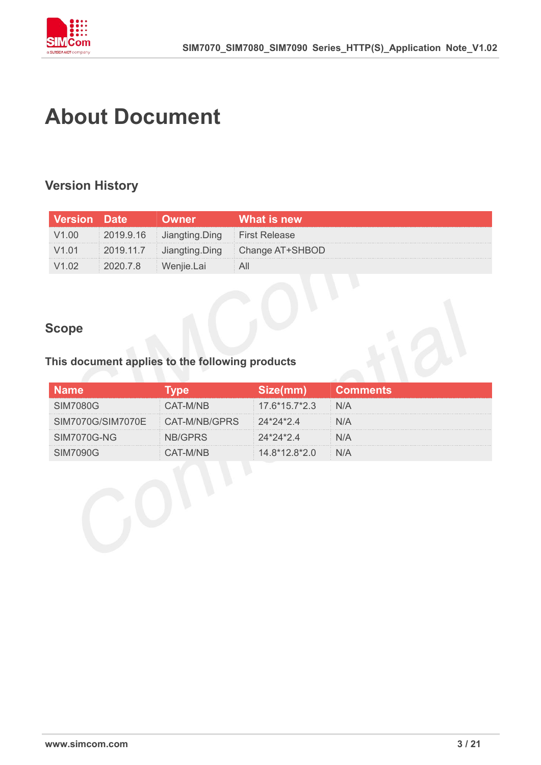

### <span id="page-2-0"></span>**About Document**

#### <span id="page-2-1"></span>**Version History**

| <b>Version Date</b> | wner                     | What is new                              |
|---------------------|--------------------------|------------------------------------------|
|                     | 2019.9.16 Jiangting.Ding | First Release                            |
|                     |                          | 2019.11.7 Jiangting.Ding Change AT+SHBOD |
|                     |                          |                                          |

#### <span id="page-2-2"></span>**Scope**

#### **This document applies to the following products**

|                                 |               |                 | 'Comments |
|---------------------------------|---------------|-----------------|-----------|
| SIM7080G                        | AT-M/NB       | $17.6*15.7*2.3$ |           |
| SIM7070G/SIM7070E CAT-M/NB/GPRS |               | $24*24*24$      |           |
| <b>SIM7070G-NG</b>              | <b>RIGPRS</b> | 24*24*24        |           |
| SIMZN90G                        | :AT-M/NR      | $14.8*12.8*2.0$ |           |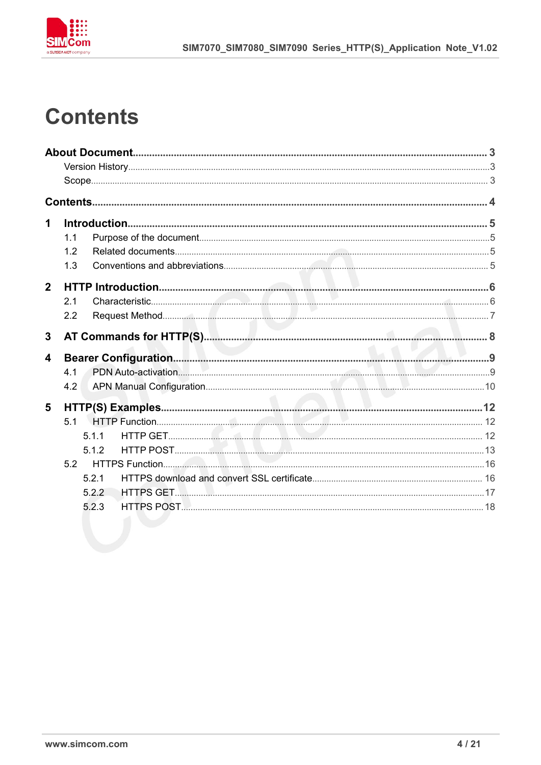

### <span id="page-3-0"></span>**Contents**

| 1              |     |       |  |
|----------------|-----|-------|--|
|                | 1.1 |       |  |
|                | 1.2 |       |  |
|                | 1.3 |       |  |
| $\overline{2}$ |     |       |  |
|                | 2.1 |       |  |
|                | 2.2 |       |  |
| 3              |     |       |  |
| 4              |     |       |  |
|                | 4.1 |       |  |
|                | 4.2 |       |  |
| 5              |     |       |  |
|                | 5.1 |       |  |
|                |     | 5.1.1 |  |
|                |     | 5.1.2 |  |
|                | 5.2 |       |  |
|                |     | 5.2.1 |  |
|                |     | 5.2.2 |  |
|                |     | 5.2.3 |  |
|                |     |       |  |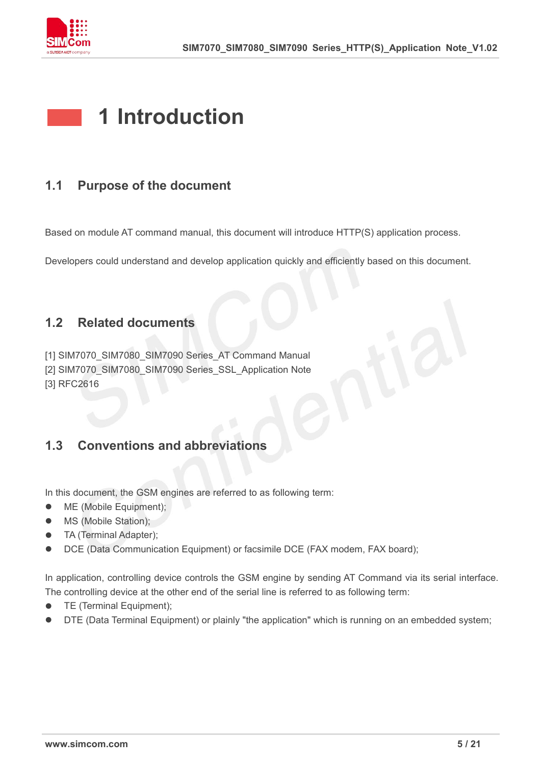

### <span id="page-4-0"></span>**1 Introduction**

#### <span id="page-4-1"></span>**1.1 Purpose of the document**

Based on module AT command manual, this document will introduce HTTP(S) application process.

Developers could understand and develop application quickly and efficiently based on this document.

#### <span id="page-4-2"></span>**1.2 Related documents**

[1] SIM7070\_SIM7080\_SIM7090 Series\_AT Command Manual [2] SIM7070\_SIM7080\_SIM7090 Series\_SSL\_Application Note [3] RFC2616

#### <span id="page-4-3"></span>**1.3 Conventions and abbreviations**

In this document, the GSM engines are referred to as following term:

- ME (Mobile Equipment);
- MS (Mobile Station);
- TA (Terminal Adapter);
- DCE (Data Communication Equipment) or facsimile DCE (FAX modem, FAX board);

In application, controlling device controls the GSM engine by sending AT Command via its serial interface. The controlling device at the other end of the serial line is referred to as following term:

- **TE** (Terminal Equipment);
- DTE (Data Terminal Equipment) or plainly "the application" which is running on an embedded system;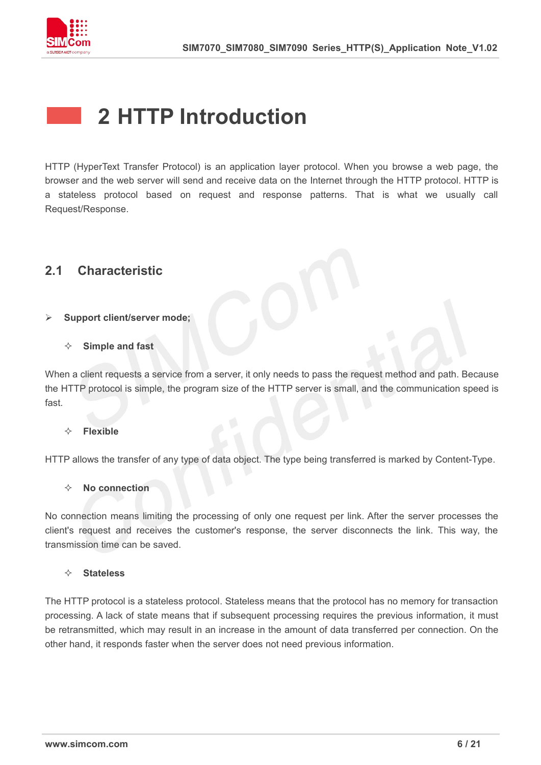

### <span id="page-5-0"></span>**2 HTTP Introduction**

HTTP (HyperText Transfer Protocol) is an application layer protocol. When you browse a web page, the browser and the web server will send and receive data on the Internet through the HTTP protocol. HTTP is a stateless protocol based on request and response patterns. That is what we usually call Request/Response.

#### <span id="page-5-1"></span>**2.1 Characteristic**

#### **Support client/server mode;**

#### **Simple and fast**

When a client requests a service from a server, it only needs to pass the request method and path. Because the HTTP protocol is simple, the program size of the HTTP server is small, and the communication speed is fast.

#### **Flexible**

HTTP allows the transfer of any type of data object. The type being transferred is marked by Content-Type.

#### **No connection**

No connection means limiting the processing of only one request per link. After the server processes the client's request and receives the customer's response, the server disconnects the link. This way, the transmission time can be saved.

#### **Stateless**

The HTTP protocol is a stateless protocol. Stateless means that the protocol has no memory for transaction processing. A lack of state means that if subsequent processing requires the previous information, it must be retransmitted, which may result in an increase in the amount of data transferred per connection. On the other hand, it responds faster when the server does not need previous information.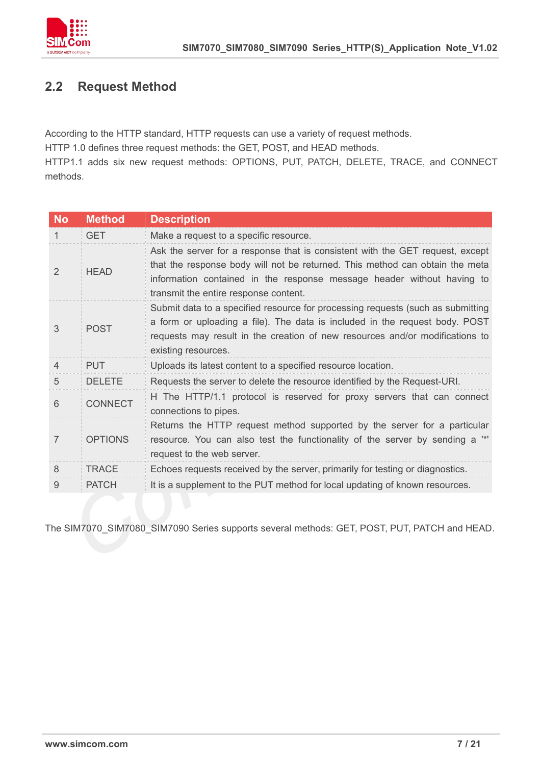

#### <span id="page-6-0"></span>**2.2 Request Method**

According to the HTTP standard, HTTP requests can use a variety of request methods.

HTTP 1.0 defines three request methods: the GET, POST, and HEAD methods.

HTTP1.1 adds six new request methods: OPTIONS, PUT, PATCH, DELETE, TRACE, and CONNECT methods.

| <b>No</b>     | <b>Method</b>  | <b>Description</b>                                                                                                                                                                                                                                                               |
|---------------|----------------|----------------------------------------------------------------------------------------------------------------------------------------------------------------------------------------------------------------------------------------------------------------------------------|
| 1             | <b>GET</b>     | Make a request to a specific resource.                                                                                                                                                                                                                                           |
| $\mathcal{P}$ | <b>HEAD</b>    | Ask the server for a response that is consistent with the GET request, except<br>that the response body will not be returned. This method can obtain the meta<br>information contained in the response message header without having to<br>transmit the entire response content. |
| 3             | <b>POST</b>    | Submit data to a specified resource for processing requests (such as submitting<br>a form or uploading a file). The data is included in the request body. POST<br>requests may result in the creation of new resources and/or modifications to<br>existing resources.            |
| 4             | <b>PUT</b>     | Uploads its latest content to a specified resource location.                                                                                                                                                                                                                     |
| 5             | <b>DELETE</b>  | Requests the server to delete the resource identified by the Request-URI.                                                                                                                                                                                                        |
| 6             | <b>CONNECT</b> | H The HTTP/1.1 protocol is reserved for proxy servers that can connect<br>connections to pipes.                                                                                                                                                                                  |
| 7             | <b>OPTIONS</b> | Returns the HTTP request method supported by the server for a particular<br>resource. You can also test the functionality of the server by sending a "*"<br>request to the web server.                                                                                           |
| 8             | <b>TRACE</b>   | Echoes requests received by the server, primarily for testing or diagnostics.                                                                                                                                                                                                    |
| 9             | <b>PATCH</b>   | It is a supplement to the PUT method for local updating of known resources.                                                                                                                                                                                                      |
|               |                |                                                                                                                                                                                                                                                                                  |

The SIM7070\_SIM7080\_SIM7090 Series supports several methods: GET, POST, PUT, PATCH and HEAD.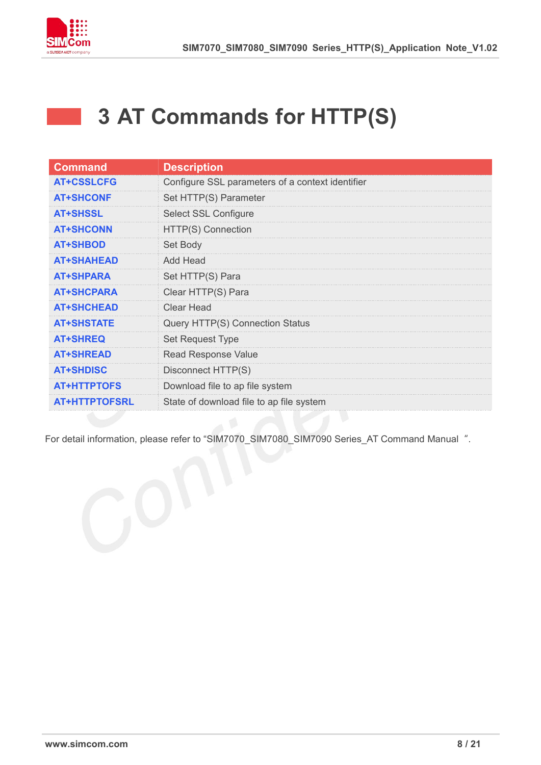

 $\sim 100$ 

### <span id="page-7-0"></span>**3 AT Commands for HTTP(S)**

| <b>Command</b>       | <b>Description</b>                               |
|----------------------|--------------------------------------------------|
| <b>AT+CSSLCFG</b>    | Configure SSL parameters of a context identifier |
| <b>AT+SHCONF</b>     | Set HTTP(S) Parameter                            |
| <b>AT+SHSSL</b>      | <b>Select SSL Configure</b>                      |
| <b>AT+SHCONN</b>     | HTTP(S) Connection                               |
| <b>AT+SHBOD</b>      | Set Body                                         |
| <b>AT+SHAHEAD</b>    | Add Head                                         |
| <b>AT+SHPARA</b>     | Set HTTP(S) Para                                 |
| <b>AT+SHCPARA</b>    | Clear HTTP(S) Para                               |
| <b>AT+SHCHEAD</b>    | Clear Head                                       |
| <b>AT+SHSTATE</b>    | Query HTTP(S) Connection Status                  |
| <b>AT+SHREQ</b>      | Set Request Type                                 |
| <b>AT+SHREAD</b>     | <b>Read Response Value</b>                       |
| <b>AT+SHDISC</b>     | Disconnect HTTP(S)                               |
| <b>AT+HTTPTOFS</b>   | Download file to ap file system                  |
| <b>AT+HTTPTOFSRL</b> | State of download file to ap file system         |

For detail information, please refer to "SIM7070\_SIM7080\_SIM7090 Series\_AT Command Manual".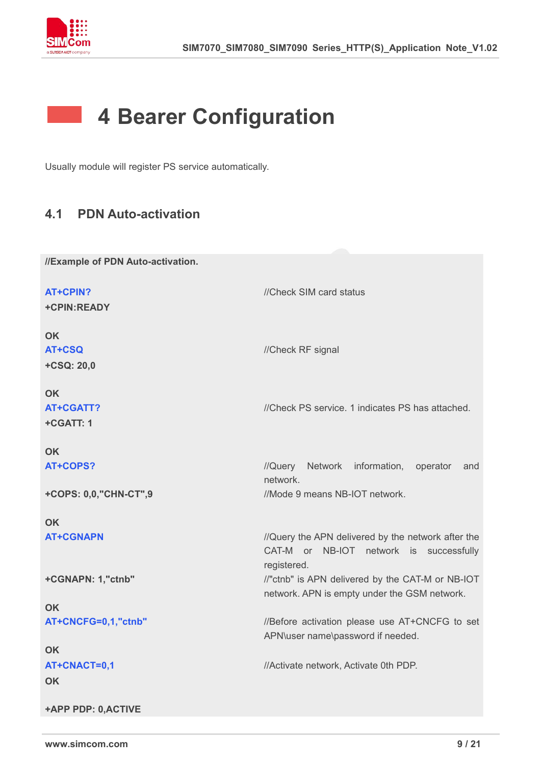

### <span id="page-8-0"></span>**4 Bearer Configuration**

Usually module will register PS service automatically.

#### <span id="page-8-1"></span>**4.1 PDN Auto-activation**

| //Example of PDN Auto-activation.        |                                                                                                              |
|------------------------------------------|--------------------------------------------------------------------------------------------------------------|
| <b>AT+CPIN?</b><br>+CPIN:READY           | //Check SIM card status                                                                                      |
| <b>OK</b><br><b>AT+CSQ</b><br>+CSQ: 20,0 | //Check RF signal                                                                                            |
| <b>OK</b><br>AT+CGATT?<br>+CGATT: 1      | //Check PS service. 1 indicates PS has attached.                                                             |
| <b>OK</b>                                |                                                                                                              |
| AT+COPS?                                 | //Query Network information, operator<br>and<br>network.                                                     |
| +COPS: 0,0,"CHN-CT",9                    | //Mode 9 means NB-IOT network.                                                                               |
| <b>OK</b>                                |                                                                                                              |
| <b>AT+CGNAPN</b>                         | //Query the APN delivered by the network after the<br>CAT-M or NB-IOT network is successfully<br>registered. |
| +CGNAPN: 1,"ctnb"                        | //"ctnb" is APN delivered by the CAT-M or NB-IOT<br>network. APN is empty under the GSM network.             |
| <b>OK</b>                                |                                                                                                              |
| AT+CNCFG=0,1,"ctnb"                      | //Before activation please use AT+CNCFG to set<br>APN\user name\password if needed.                          |
| <b>OK</b>                                |                                                                                                              |
| AT+CNACT=0,1                             | //Activate network, Activate 0th PDP.                                                                        |
| <b>OK</b>                                |                                                                                                              |
| +APP PDP: 0,ACTIVE                       |                                                                                                              |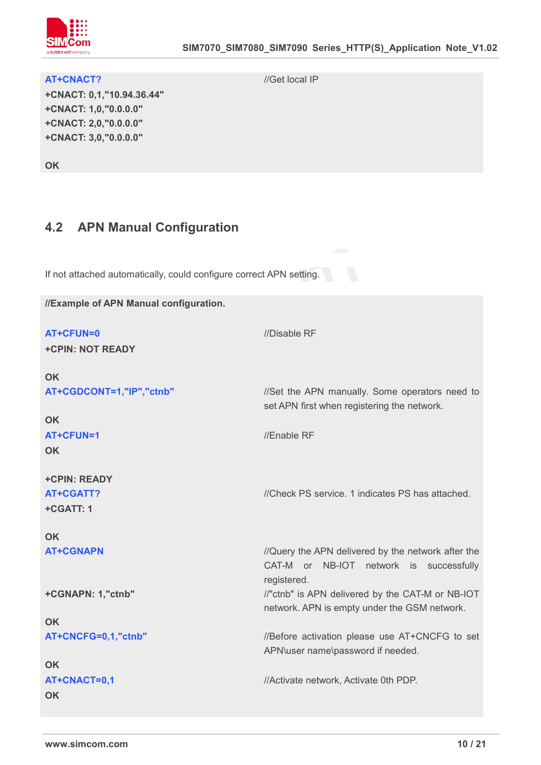

#### **AT+CNACT?** //Get local IP

**+CNACT: 0,1,"10.94.36.44" +CNACT: 1,0,"0.0.0.0" +CNACT: 2,0,"0.0.0.0" +CNACT: 3,0,"0.0.0.0"**

**OK**

### <span id="page-9-0"></span>**4.2 APN Manual Configuration**

If not attached automatically, could configure correct APN setting.

**//Example of APN Manual configuration.**

| //Disable RF<br>AT+CFUN=0<br><b>+CPIN: NOT READY</b>                                                                      |  |
|---------------------------------------------------------------------------------------------------------------------------|--|
| <b>OK</b>                                                                                                                 |  |
| AT+CGDCONT=1,"IP","ctnb"<br>//Set the APN manually. Some operators need to<br>set APN first when registering the network. |  |
| <b>OK</b>                                                                                                                 |  |
| //Enable RF<br>AT+CFUN=1<br><b>OK</b>                                                                                     |  |
|                                                                                                                           |  |
| <b>+CPIN: READY</b>                                                                                                       |  |
| <b>AT+CGATT?</b><br>//Check PS service. 1 indicates PS has attached.                                                      |  |
| +CGATT: 1                                                                                                                 |  |
|                                                                                                                           |  |
| <b>OK</b>                                                                                                                 |  |
| <b>AT+CGNAPN</b><br>//Query the APN delivered by the network after the                                                    |  |
| CAT-M or NB-IOT network is successfully                                                                                   |  |
| registered.                                                                                                               |  |
| //"ctnb" is APN delivered by the CAT-M or NB-IOT<br>+CGNAPN: 1,"ctnb"<br>network. APN is empty under the GSM network.     |  |
| <b>OK</b>                                                                                                                 |  |
| //Before activation please use AT+CNCFG to set<br>AT+CNCFG=0,1,"ctnb"                                                     |  |
| APN\user name\password if needed.                                                                                         |  |
| <b>OK</b>                                                                                                                 |  |
|                                                                                                                           |  |
| AT+CNACT=0,1<br>//Activate network, Activate 0th PDP.                                                                     |  |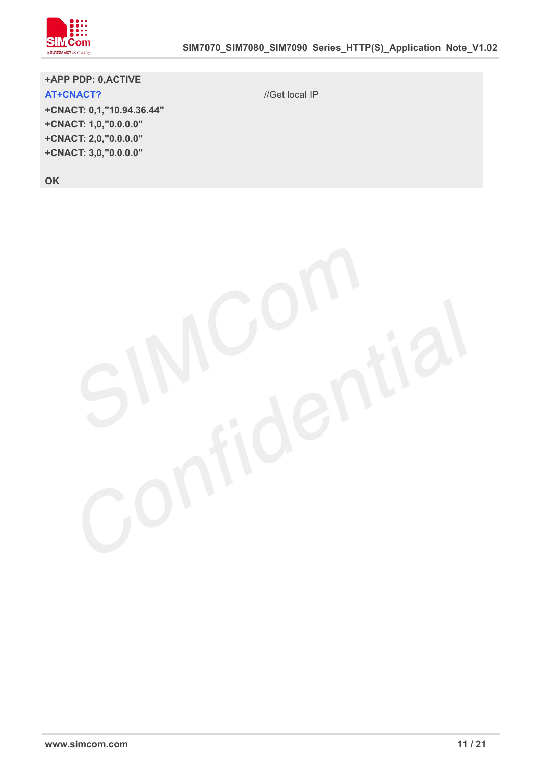

**+APP PDP: 0,ACTIVE AT+CNACT?** //Get local IP **+CNACT: 0,1,"10.94.36.44" +CNACT: 1,0,"0.0.0.0" +CNACT: 2,0,"0.0.0.0"**

**+CNACT: 3,0,"0.0.0.0"**

**OK**

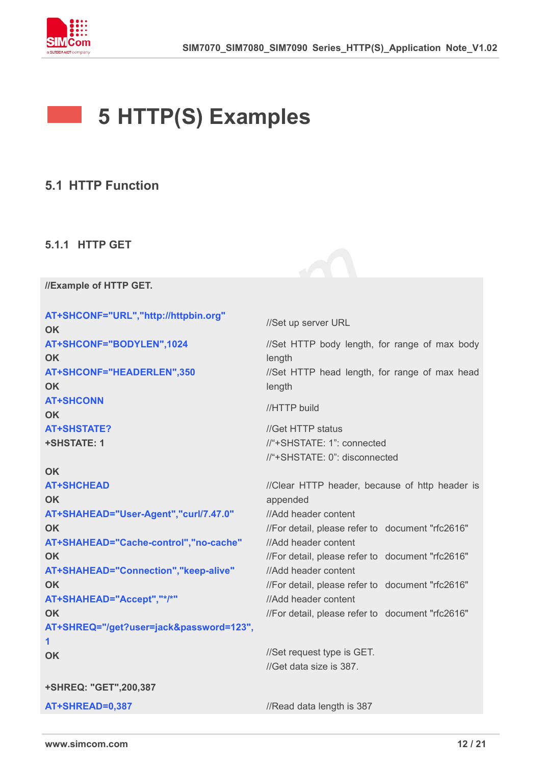

## <span id="page-11-0"></span>**5 HTTP(S) Examples**

#### <span id="page-11-1"></span>**5.1 HTTP Function**

#### <span id="page-11-2"></span>**5.1.1 HTTP GET**

**//Example of HTTP GET.**

```
AT+SHCONF="URL","http://httpbin.org" OK
                                  //Set up server URL
AT+SHCONF="BODYLEN",1024
OK
                                  //Set HTTP body length, for range of max body
                                  length
AT+SHCONF="HEADERLEN",350
OK
                                  //Set HTTP head length, for range of max head
                                  length
AT+SHCONN
OK
                                  //HTTP build
AT+SHSTATE?
+SHSTATE: 1
OK
                                  //Get HTTP status
                                  //"+SHSTATE: 1": connected
                                  //"+SHSTATE: 0": disconnected
AT+SHCHEAD
OK
                                  //Clear HTTP header, because of http header is
                                  appended
AT+SHAHEAD="User-Agent","curl/7.47.0" OK
                                  //Add header content
                                  //For detail, please refer to document "rfc2616" AT+SHAHEAD="Cache-control","no-cache" OK
                                  //Add header content
                                  //For detail, please refer to document "rfc2616" AT+SHAHEAD="Connection","keep-alive" OK
                                  //Add header content
                                  //For detail, please refer to document "rfc2616" AT+SHAHEAD="Accept","*/*" OK
                                  //Add header content
                                  //For detail, please refer to document "rfc2616" AT+SHREQ="/get?user=jack&password=123", 1
OK
+SHREQ: "GET",200,387
                                  //Set request type is GET.
                                  //Get data size is 387
AT+SHREAD=0.387 //Read data length is 387
```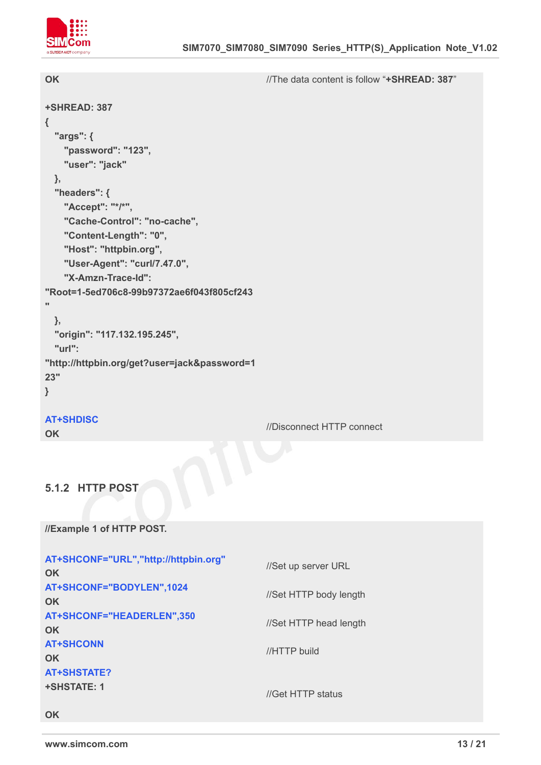

| <b>OK</b>                                                                                                                                                                                                                                                        | //The data content is follow "+SHREAD: 387" |
|------------------------------------------------------------------------------------------------------------------------------------------------------------------------------------------------------------------------------------------------------------------|---------------------------------------------|
| +SHREAD: 387<br>$\{$<br>"args": {<br>"password": "123",<br>"user": "jack"<br>$\},$<br>"headers": {<br>"Accept": "*/*",<br>"Cache-Control": "no-cache",<br>"Content-Length": "0",<br>"Host": "httpbin.org",<br>"User-Agent": "curl/7.47.0",<br>"X-Amzn-Trace-Id": |                                             |
| "Root=1-5ed706c8-99b97372ae6f043f805cf243<br>$\bullet$<br>},<br>"origin": "117.132.195.245",<br>"url":<br>"http://httpbin.org/get?user=jack&password=1<br>23"<br>}                                                                                               |                                             |
| <b>AT+SHDISC</b><br><b>OK</b>                                                                                                                                                                                                                                    | //Disconnect HTTP connect                   |
| 5.1.2 HTTP POST                                                                                                                                                                                                                                                  |                                             |

#### <span id="page-12-0"></span>**5.1.2 HTTP POST**

**//Example 1 of HTTP POST.**

| AT+SHCONF="URL","http://httpbin.org"<br><b>OK</b> | //Set up server URL    |
|---------------------------------------------------|------------------------|
| AT+SHCONF="BODYLEN",1024<br><b>OK</b>             | //Set HTTP body length |
| AT+SHCONF="HEADERLEN",350<br><b>OK</b>            | //Set HTTP head length |
| <b>AT+SHCONN</b><br><b>OK</b>                     | //HTTP build           |
| <b>AT+SHSTATE?</b><br><b>+SHSTATE: 1</b>          | //Get HTTP status      |
| <b>OK</b>                                         |                        |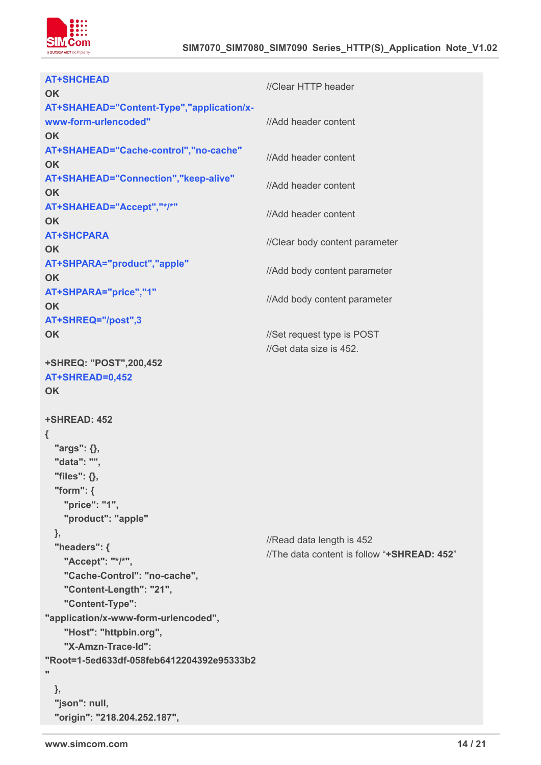

| <b>AT+SHCHEAD</b>                         |                                                                          |  |
|-------------------------------------------|--------------------------------------------------------------------------|--|
| <b>OK</b>                                 | //Clear HTTP header                                                      |  |
| AT+SHAHEAD="Content-Type","application/x- |                                                                          |  |
| www-form-urlencoded"                      | //Add header content                                                     |  |
| <b>OK</b>                                 |                                                                          |  |
| AT+SHAHEAD="Cache-control","no-cache"     |                                                                          |  |
| <b>OK</b>                                 | //Add header content                                                     |  |
| AT+SHAHEAD="Connection","keep-alive"      | //Add header content                                                     |  |
| <b>OK</b>                                 |                                                                          |  |
| AT+SHAHEAD="Accept","*/*"                 | //Add header content                                                     |  |
| <b>OK</b>                                 |                                                                          |  |
| <b>AT+SHCPARA</b>                         |                                                                          |  |
| <b>OK</b>                                 | //Clear body content parameter                                           |  |
| AT+SHPARA="product","apple"               | //Add body content parameter                                             |  |
| <b>OK</b>                                 |                                                                          |  |
| AT+SHPARA="price","1"                     | //Add body content parameter                                             |  |
| <b>OK</b>                                 |                                                                          |  |
| AT+SHREQ="/post",3                        |                                                                          |  |
| OK                                        | //Set request type is POST                                               |  |
|                                           | //Get data size is 452.                                                  |  |
| +SHREQ: "POST",200,452                    |                                                                          |  |
| AT+SHREAD=0,452                           |                                                                          |  |
| <b>OK</b>                                 |                                                                          |  |
| +SHREAD: 452                              |                                                                          |  |
| $\{$                                      |                                                                          |  |
| "args": {},                               |                                                                          |  |
| "data": "",                               |                                                                          |  |
| "files": {},                              |                                                                          |  |
| "form": $\{$                              |                                                                          |  |
| "price": "1",                             |                                                                          |  |
| "product": "apple"                        |                                                                          |  |
| },                                        |                                                                          |  |
| "headers": {                              | //Read data length is 452<br>//The data content is follow "+SHREAD: 452" |  |
| "Accept": "*/*",                          |                                                                          |  |
| "Cache-Control": "no-cache",              |                                                                          |  |
| "Content-Length": "21",                   |                                                                          |  |
| "Content-Type":                           |                                                                          |  |
| "application/x-www-form-urlencoded",      |                                                                          |  |
| "Host": "httpbin.org",                    |                                                                          |  |
| "X-Amzn-Trace-Id":                        |                                                                          |  |
| "Root=1-5ed633df-058feb6412204392e95333b2 |                                                                          |  |
| π                                         |                                                                          |  |
| },                                        |                                                                          |  |
| "json": null,                             |                                                                          |  |
| "origin": "218.204.252.187",              |                                                                          |  |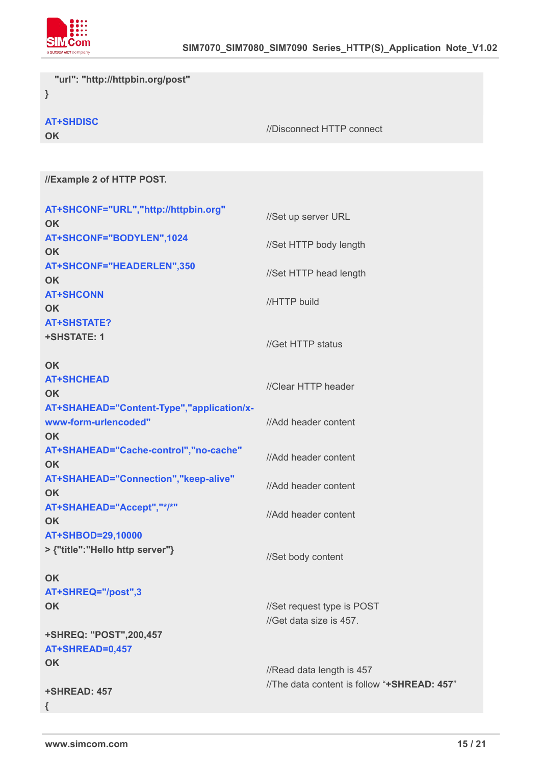

**"url": "http://httpbin.org/post"**

**}**

**AT+SHDISC**

**OK**

//Disconnect HTTP connect

**//Example 2 of HTTP POST.**

| AT+SHCONF="URL","http://httpbin.org"<br><b>OK</b>                 | //Set up server URL                         |
|-------------------------------------------------------------------|---------------------------------------------|
| AT+SHCONF="BODYLEN",1024<br><b>OK</b>                             | //Set HTTP body length                      |
| AT+SHCONF="HEADERLEN",350<br><b>OK</b>                            | //Set HTTP head length                      |
| <b>AT+SHCONN</b><br><b>OK</b>                                     | //HTTP build                                |
| <b>AT+SHSTATE?</b>                                                |                                             |
| <b>+SHSTATE: 1</b>                                                | //Get HTTP status                           |
| <b>OK</b>                                                         |                                             |
| <b>AT+SHCHEAD</b>                                                 | //Clear HTTP header                         |
| <b>OK</b>                                                         |                                             |
| AT+SHAHEAD="Content-Type","application/x-<br>www-form-urlencoded" | //Add header content                        |
| <b>OK</b><br>AT+SHAHEAD="Cache-control","no-cache"<br><b>OK</b>   | //Add header content                        |
| AT+SHAHEAD="Connection","keep-alive"<br><b>OK</b>                 | //Add header content                        |
| AT+SHAHEAD="Accept","*/*"<br><b>OK</b>                            | //Add header content                        |
| AT+SHBOD=29,10000                                                 |                                             |
| > {"title":"Hello http server"}                                   | //Set body content                          |
| <b>OK</b>                                                         |                                             |
| AT+SHREQ="/post",3                                                |                                             |
| <b>OK</b>                                                         | //Set request type is POST                  |
|                                                                   | //Get data size is 457.                     |
| +SHREQ: "POST",200,457                                            |                                             |
| AT+SHREAD=0,457                                                   |                                             |
| <b>OK</b>                                                         | //Read data length is 457                   |
| +SHREAD: 457                                                      | //The data content is follow "+SHREAD: 457" |
| $\mathcal{L}$                                                     |                                             |
|                                                                   |                                             |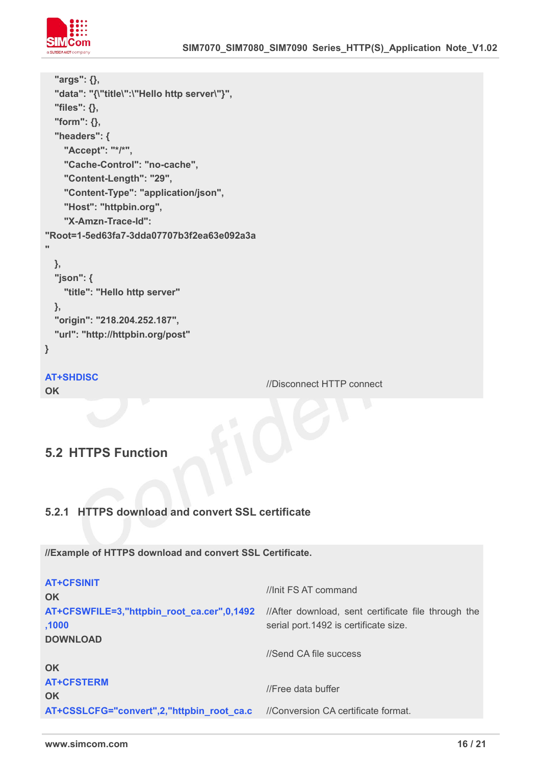

```
"args": {}, "data": "{\"title\":\"Hello http server\"}", "files": {}, "form": {}, "headers": { "Accept": "*/*", "Cache-Control": "no-cache", "Content-Length": "29", "Content-Type": "application/json", "Host": "httpbin.org", "X-Amzn-Trace-Id": "Root=1-5ed63fa7-3dda07707b3f2ea63e092a3a
"
 },"json": { "title": "Hello http server"
 },"origin": "218.204.252.187", "url": "http://httpbin.org/post"
}
AT+SHDISC
```
**OK**

//Disconnect HTTP connect

#### <span id="page-15-0"></span>**5.2 HTTPS Function**

#### <span id="page-15-1"></span>**5.2.1 HTTPS download and convert SSL certificate**

**//Example of HTTPS download and convert SSL Certificate.**

| <b>AT+CFSINIT</b>                                   | //Init FS AT command                                                                         |  |
|-----------------------------------------------------|----------------------------------------------------------------------------------------------|--|
| <b>OK</b>                                           |                                                                                              |  |
| AT+CFSWFILE=3,"httpbin_root_ca.cer",0,1492<br>,1000 | //After download, sent certificate file through the<br>serial port.1492 is certificate size. |  |
| <b>DOWNLOAD</b>                                     | //Send CA file success                                                                       |  |
| <b>OK</b>                                           |                                                                                              |  |
| <b>AT+CFSTERM</b><br><b>OK</b>                      | //Free data buffer                                                                           |  |
| AT+CSSLCFG="convert",2,"httpbin_root_ca.c           | //Conversion CA certificate format.                                                          |  |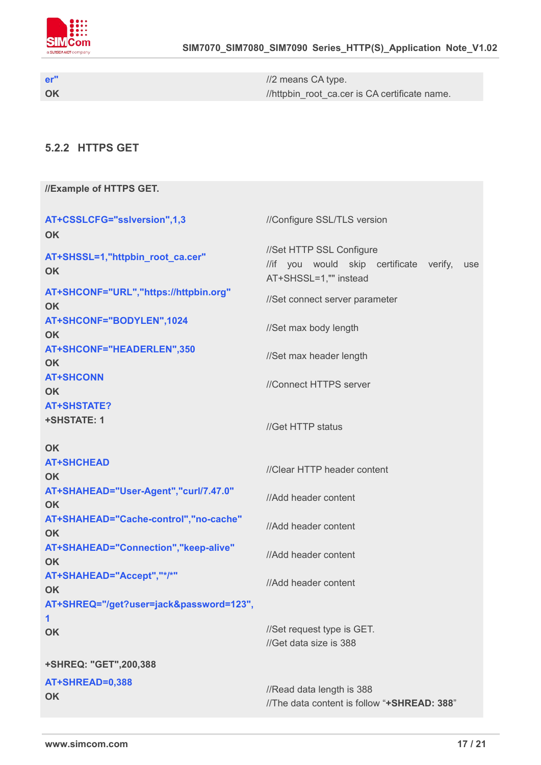

**er" OK** //2 means CA type. //httpbin\_root\_ca.cer is CA certificate name.

#### <span id="page-16-0"></span>**5.2.2 HTTPS GET**

| //Example of HTTPS GET.                            |                                                                                                     |  |
|----------------------------------------------------|-----------------------------------------------------------------------------------------------------|--|
| AT+CSSLCFG="sslversion",1,3<br>OK                  | //Configure SSL/TLS version                                                                         |  |
| AT+SHSSL=1,"httpbin_root_ca.cer"<br>OK             | //Set HTTP SSL Configure<br>//if you would skip certificate verify,<br>use<br>AT+SHSSL=1,"" instead |  |
| AT+SHCONF="URL","https://httpbin.org"<br><b>OK</b> | //Set connect server parameter                                                                      |  |
| AT+SHCONF="BODYLEN",1024<br><b>OK</b>              | //Set max body length                                                                               |  |
| AT+SHCONF="HEADERLEN",350<br><b>OK</b>             | //Set max header length                                                                             |  |
| <b>AT+SHCONN</b><br><b>OK</b>                      | //Connect HTTPS server                                                                              |  |
| <b>AT+SHSTATE?</b><br><b>+SHSTATE: 1</b>           | //Get HTTP status                                                                                   |  |
| <b>OK</b>                                          |                                                                                                     |  |
| <b>AT+SHCHEAD</b><br><b>OK</b>                     | //Clear HTTP header content                                                                         |  |
| AT+SHAHEAD="User-Agent","curl/7.47.0"<br><b>OK</b> | //Add header content                                                                                |  |
| AT+SHAHEAD="Cache-control","no-cache"<br><b>OK</b> | //Add header content                                                                                |  |
| AT+SHAHEAD="Connection","keep-alive"<br><b>OK</b>  | //Add header content                                                                                |  |
| AT+SHAHEAD="Accept","*/*"<br>OK                    | //Add header content                                                                                |  |
| AT+SHREQ="/get?user=jack&password=123",            |                                                                                                     |  |
| 1                                                  |                                                                                                     |  |
| <b>OK</b>                                          | //Set request type is GET.<br>//Get data size is 388                                                |  |
| +SHREQ: "GET",200,388                              |                                                                                                     |  |
| AT+SHREAD=0,388                                    |                                                                                                     |  |
| <b>OK</b>                                          | //Read data length is 388                                                                           |  |
|                                                    | //The data content is follow "+SHREAD: 388"                                                         |  |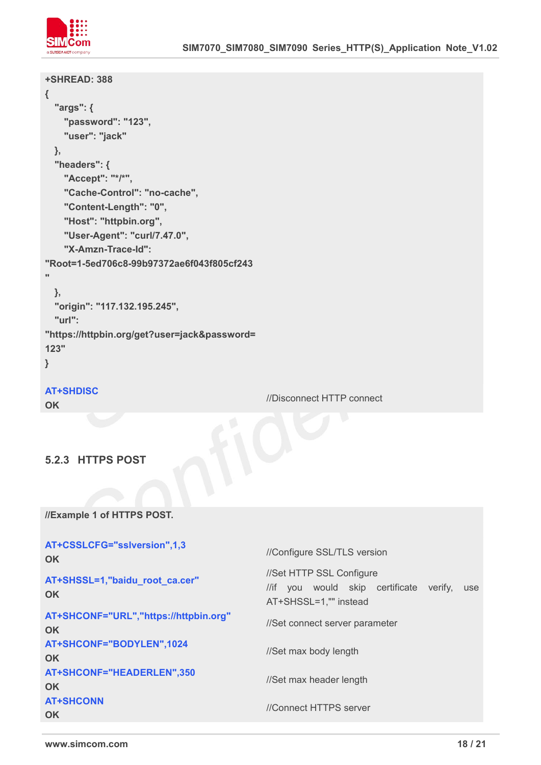

| +SHREAD: 388                                           |                           |
|--------------------------------------------------------|---------------------------|
| $\{$                                                   |                           |
| "args": {                                              |                           |
| "password": "123",                                     |                           |
| "user": "jack"                                         |                           |
| $\}$ ,                                                 |                           |
| "headers": {                                           |                           |
| "Accept": "*/*",                                       |                           |
| "Cache-Control": "no-cache",                           |                           |
| "Content-Length": "0",                                 |                           |
| "Host": "httpbin.org",                                 |                           |
| "User-Agent": "curl/7.47.0",                           |                           |
| "X-Amzn-Trace-Id":                                     |                           |
| "Root=1-5ed706c8-99b97372ae6f043f805cf243<br>$\bullet$ |                           |
|                                                        |                           |
| },                                                     |                           |
| "origin": "117.132.195.245",                           |                           |
| "url":                                                 |                           |
| "https://httpbin.org/get?user=jack&password=           |                           |
| 123"                                                   |                           |
| $\mathbf{\}$                                           |                           |
| <b>AT+SHDISC</b>                                       |                           |
| <b>OK</b>                                              | //Disconnect HTTP connect |
|                                                        |                           |
|                                                        |                           |
|                                                        |                           |
| 5.2.3 HTTPS POST                                       |                           |

<span id="page-17-0"></span>**//Example 1 of HTTPS POST.**

| AT+CSSLCFG="sslversion",1,3<br><b>OK</b>           | //Configure SSL/TLS version                                                                            |  |
|----------------------------------------------------|--------------------------------------------------------------------------------------------------------|--|
| AT+SHSSL=1,"baidu_root_ca.cer"<br><b>OK</b>        | //Set HTTP SSL Configure<br>//if you would skip certificate<br>verify,<br>use<br>AT+SHSSL=1,"" instead |  |
| AT+SHCONF="URL","https://httpbin.org"<br><b>OK</b> | //Set connect server parameter                                                                         |  |
| AT+SHCONF="BODYLEN",1024<br><b>OK</b>              | //Set max body length                                                                                  |  |
| AT+SHCONF="HEADERLEN",350<br><b>OK</b>             | //Set max header length                                                                                |  |
| <b>AT+SHCONN</b><br><b>OK</b>                      | //Connect HTTPS server                                                                                 |  |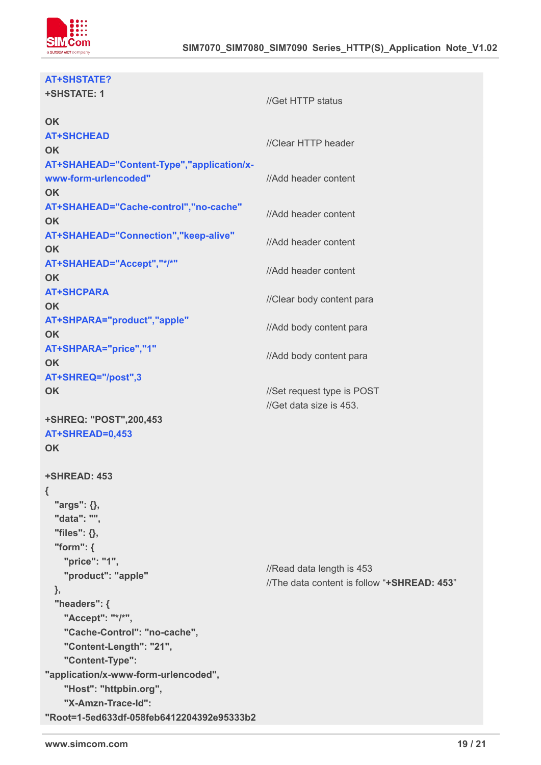

| <b>AT+SHSTATE?</b>                        |                                             |
|-------------------------------------------|---------------------------------------------|
| <b>+SHSTATE: 1</b>                        |                                             |
|                                           | //Get HTTP status                           |
| <b>OK</b>                                 |                                             |
| <b>AT+SHCHEAD</b>                         | //Clear HTTP header                         |
| <b>OK</b>                                 |                                             |
| AT+SHAHEAD="Content-Type","application/x- |                                             |
| www-form-urlencoded"                      | //Add header content                        |
| <b>OK</b>                                 |                                             |
| AT+SHAHEAD="Cache-control","no-cache"     | //Add header content                        |
| <b>OK</b>                                 |                                             |
| AT+SHAHEAD="Connection","keep-alive"      | //Add header content                        |
| <b>OK</b>                                 |                                             |
| AT+SHAHEAD="Accept","*/*"                 | //Add header content                        |
| <b>OK</b>                                 |                                             |
| <b>AT+SHCPARA</b>                         | //Clear body content para                   |
| <b>OK</b>                                 |                                             |
| AT+SHPARA="product","apple"               | //Add body content para                     |
| <b>OK</b>                                 |                                             |
| AT+SHPARA="price","1"                     | //Add body content para                     |
| <b>OK</b>                                 |                                             |
| AT+SHREQ="/post",3                        |                                             |
| <b>OK</b>                                 | //Set request type is POST                  |
|                                           | //Get data size is 453.                     |
| +SHREQ: "POST",200,453                    |                                             |
| AT+SHREAD=0,453                           |                                             |
| <b>OK</b>                                 |                                             |
|                                           |                                             |
| <b>+SHREAD: 453</b>                       |                                             |
| $\{$                                      |                                             |
| "args": {},                               |                                             |
| "data": "",                               |                                             |
| "files": {},                              |                                             |
| "form": $\{$                              |                                             |
| "price": "1",                             | //Read data length is 453                   |
| "product": "apple"                        | //The data content is follow "+SHREAD: 453" |
| },                                        |                                             |
| "headers": {                              |                                             |
| "Accept": "*/*",                          |                                             |
| "Cache-Control": "no-cache",              |                                             |
| "Content-Length": "21",                   |                                             |
| "Content-Type":                           |                                             |
| "application/x-www-form-urlencoded",      |                                             |
| "Host": "httpbin.org",                    |                                             |
| "X-Amzn-Trace-Id":                        |                                             |
| "Root=1-5ed633df-058feb6412204392e95333b2 |                                             |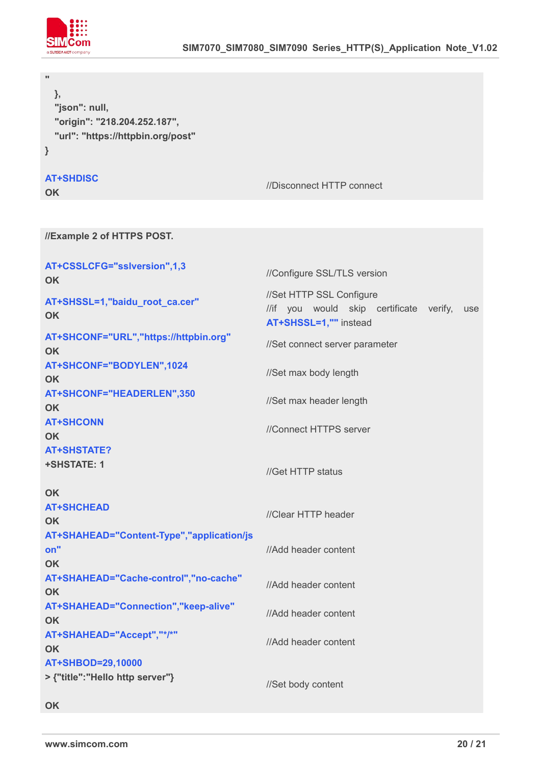

| },<br>"json": null,<br>"origin": "218.204.252.187",<br>"url": "https://httpbin.org/post"<br>} |                                                                                                     |
|-----------------------------------------------------------------------------------------------|-----------------------------------------------------------------------------------------------------|
| <b>AT+SHDISC</b><br><b>OK</b>                                                                 | //Disconnect HTTP connect                                                                           |
| //Example 2 of HTTPS POST.                                                                    |                                                                                                     |
|                                                                                               |                                                                                                     |
| AT+CSSLCFG="sslversion",1,3<br><b>OK</b>                                                      | //Configure SSL/TLS version                                                                         |
| AT+SHSSL=1,"baidu_root_ca.cer"<br><b>OK</b>                                                   | //Set HTTP SSL Configure<br>//if you would skip certificate verify,<br>use<br>AT+SHSSL=1,"" instead |
| AT+SHCONF="URL","https://httpbin.org"<br><b>OK</b>                                            | //Set connect server parameter                                                                      |
| AT+SHCONF="BODYLEN",1024<br><b>OK</b>                                                         | //Set max body length                                                                               |
| AT+SHCONF="HEADERLEN",350<br><b>OK</b>                                                        | //Set max header length                                                                             |
| <b>AT+SHCONN</b><br><b>OK</b>                                                                 | //Connect HTTPS server                                                                              |
| <b>AT+SHSTATE?</b><br>+SHSTATE: 1                                                             | //Get HTTP status                                                                                   |
| <b>OK</b><br><b>AT+SHCHEAD</b><br><b>OK</b>                                                   | //Clear HTTP header                                                                                 |
| AT+SHAHEAD="Content-Type","application/js<br>on"<br><b>OK</b>                                 | //Add header content                                                                                |
| AT+SHAHEAD="Cache-control","no-cache"<br><b>OK</b>                                            | //Add header content                                                                                |
| AT+SHAHEAD="Connection","keep-alive"<br><b>OK</b>                                             | //Add header content                                                                                |
| AT+SHAHEAD="Accept","*/*"<br><b>OK</b>                                                        | //Add header content                                                                                |
| AT+SHBOD=29,10000<br>> {"title":"Hello http server"}                                          | //Set body content                                                                                  |
|                                                                                               |                                                                                                     |